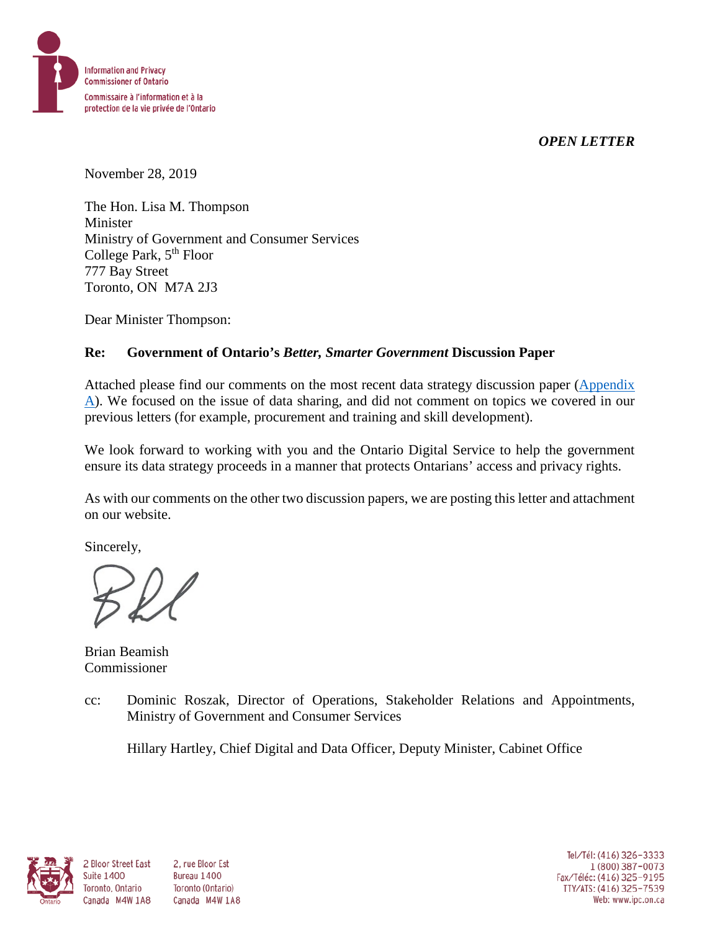



November 28, 2019

The Hon. Lisa M. Thompson Minister Ministry of Government and Consumer Services College Park, 5<sup>th</sup> Floor 777 Bay Street Toronto, ON M7A 2J3

Dear Minister Thompson:

### **Re: Government of Ontario's** *Better, Smarter Government* **Discussion Paper**

Attached please find our comments on the most recent data strategy discussion paper [\(Appendix](#page-1-0)  [A\)](#page-1-0). We focused on the issue of data sharing, and did not comment on topics we covered in our previous letters (for example, procurement and training and skill development).

We look forward to working with you and the Ontario Digital Service to help the government ensure its data strategy proceeds in a manner that protects Ontarians' access and privacy rights.

As with our comments on the other two discussion papers, we are posting this letter and attachment on our website.

Sincerely,

Brian Beamish Commissioner

cc: Dominic Roszak, Director of Operations, Stakeholder Relations and Appointments, Ministry of Government and Consumer Services

Hillary Hartley, Chief Digital and Data Officer, Deputy Minister, Cabinet Office



**Suite 1400** 

2 Bloor Street East 2. rue Bloor Est Bureau 1400 Toronto, Ontario Toronto (Ontario) Canada M4W 1A8 Canada M4W 1A8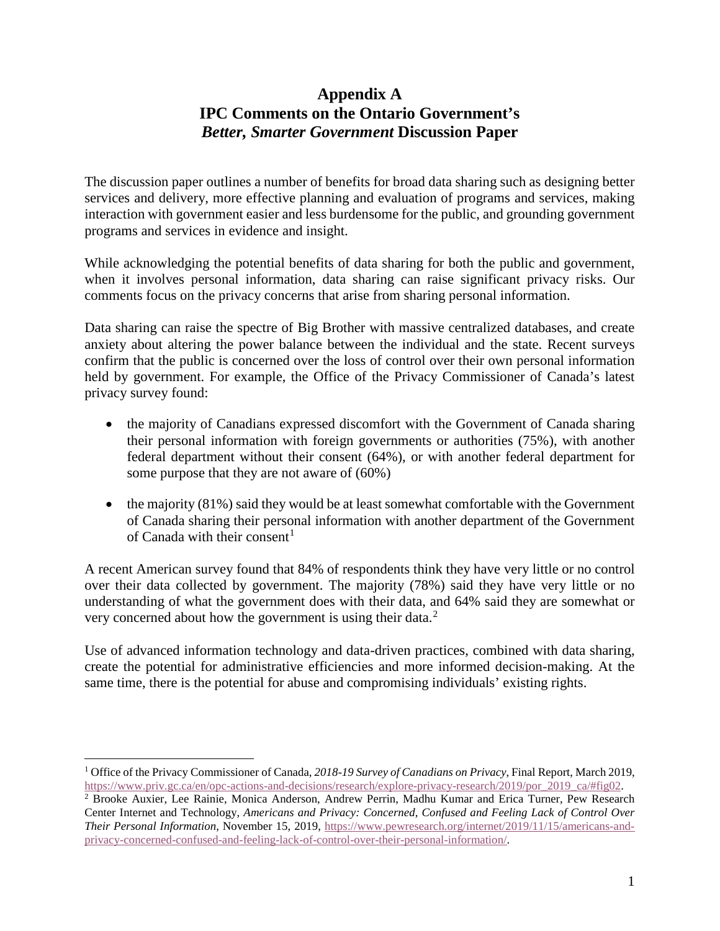# **Appendix A IPC Comments on the Ontario Government's** *Better, Smarter Government* **Discussion Paper**

<span id="page-1-0"></span>The discussion paper outlines a number of benefits for broad data sharing such as designing better services and delivery, more effective planning and evaluation of programs and services, making interaction with government easier and less burdensome for the public, and grounding government programs and services in evidence and insight.

While acknowledging the potential benefits of data sharing for both the public and government, when it involves personal information, data sharing can raise significant privacy risks. Our comments focus on the privacy concerns that arise from sharing personal information.

Data sharing can raise the spectre of Big Brother with massive centralized databases, and create anxiety about altering the power balance between the individual and the state. Recent surveys confirm that the public is concerned over the loss of control over their own personal information held by government. For example, the Office of the Privacy Commissioner of Canada's latest privacy survey found:

- the majority of Canadians expressed discomfort with the Government of Canada sharing their personal information with foreign governments or authorities (75%), with another federal department without their consent (64%), or with another federal department for some purpose that they are not aware of (60%)
- the majority (81%) said they would be at least somewhat comfortable with the Government of Canada sharing their personal information with another department of the Government of Canada with their consent<sup>[1](#page-1-1)</sup>

A recent American survey found that 84% of respondents think they have very little or no control over their data collected by government. The majority (78%) said they have very little or no understanding of what the government does with their data, and 64% said they are somewhat or very concerned about how the government is using their data.<sup>[2](#page-1-2)</sup>

Use of advanced information technology and data-driven practices, combined with data sharing, create the potential for administrative efficiencies and more informed decision-making. At the same time, there is the potential for abuse and compromising individuals' existing rights.

 $\overline{a}$ 

<span id="page-1-1"></span><sup>1</sup> Office of the Privacy Commissioner of Canada, *2018-19 Survey of Canadians on Privacy*, Final Report, March 2019, [https://www.priv.gc.ca/en/opc-actions-and-decisions/research/explore-privacy-research/2019/por\\_2019\\_ca/#fig02.](https://www.priv.gc.ca/en/opc-actions-and-decisions/research/explore-privacy-research/2019/por_2019_ca/#fig02)

<span id="page-1-2"></span><sup>2</sup> Brooke Auxier, Lee Rainie, Monica Anderson, Andrew Perrin, Madhu Kumar and Erica Turner, Pew Research Center Internet and Technology, *Americans and Privacy: Concerned, Confused and Feeling Lack of Control Over Their Personal Information*, November 15, 2019, [https://www.pewresearch.org/internet/2019/11/15/americans-and](https://www.pewresearch.org/internet/2019/11/15/americans-and-privacy-concerned-confused-and-feeling-lack-of-control-over-their-personal-information/)[privacy-concerned-confused-and-feeling-lack-of-control-over-their-personal-information/.](https://www.pewresearch.org/internet/2019/11/15/americans-and-privacy-concerned-confused-and-feeling-lack-of-control-over-their-personal-information/)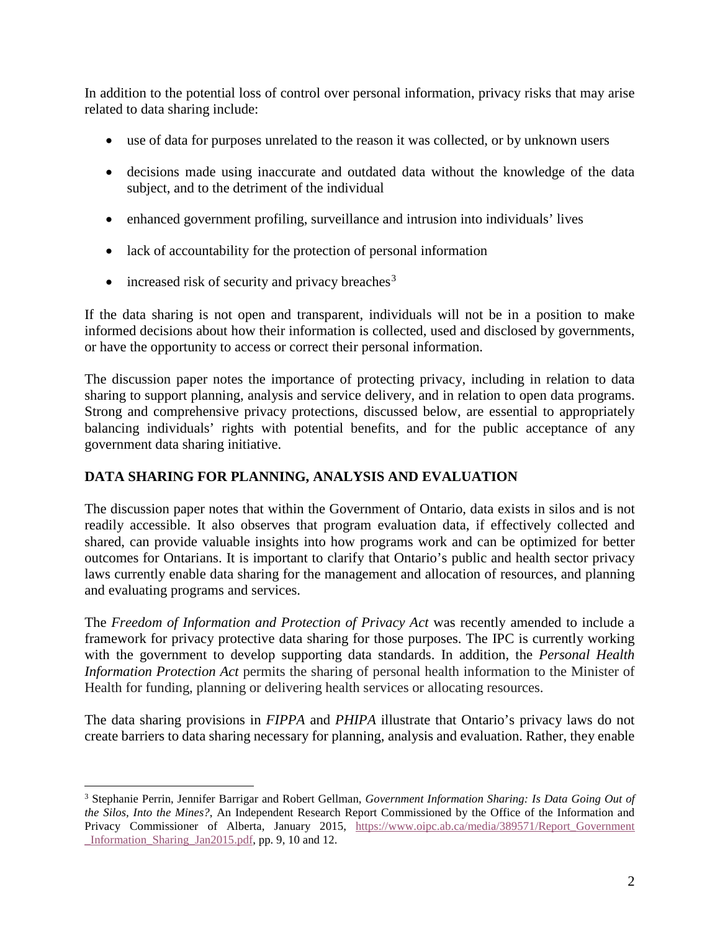In addition to the potential loss of control over personal information, privacy risks that may arise related to data sharing include:

- use of data for purposes unrelated to the reason it was collected, or by unknown users
- decisions made using inaccurate and outdated data without the knowledge of the data subject, and to the detriment of the individual
- enhanced government profiling, surveillance and intrusion into individuals' lives
- lack of accountability for the protection of personal information
- increased risk of security and privacy breaches<sup>[3](#page-2-0)</sup>

 $\overline{a}$ 

If the data sharing is not open and transparent, individuals will not be in a position to make informed decisions about how their information is collected, used and disclosed by governments, or have the opportunity to access or correct their personal information.

The discussion paper notes the importance of protecting privacy, including in relation to data sharing to support planning, analysis and service delivery, and in relation to open data programs. Strong and comprehensive privacy protections, discussed below, are essential to appropriately balancing individuals' rights with potential benefits, and for the public acceptance of any government data sharing initiative.

## **DATA SHARING FOR PLANNING, ANALYSIS AND EVALUATION**

The discussion paper notes that within the Government of Ontario, data exists in silos and is not readily accessible. It also observes that program evaluation data, if effectively collected and shared, can provide valuable insights into how programs work and can be optimized for better outcomes for Ontarians. It is important to clarify that Ontario's public and health sector privacy laws currently enable data sharing for the management and allocation of resources, and planning and evaluating programs and services.

The *Freedom of Information and Protection of Privacy Act* was recently amended to include a framework for privacy protective data sharing for those purposes. The IPC is currently working with the government to develop supporting data standards. In addition, the *Personal Health Information Protection Act* permits the sharing of personal health information to the Minister of Health for funding, planning or delivering health services or allocating resources.

The data sharing provisions in *FIPPA* and *PHIPA* illustrate that Ontario's privacy laws do not create barriers to data sharing necessary for planning, analysis and evaluation. Rather, they enable

<span id="page-2-0"></span><sup>3</sup> Stephanie Perrin, Jennifer Barrigar and Robert Gellman, *Government Information Sharing: Is Data Going Out of the Silos, Into the Mines?*, An Independent Research Report Commissioned by the Office of the Information and Privacy Commissioner of Alberta, January 2015, https://www.oipc.ab.ca/media/389571/Report Government [\\_Information\\_Sharing\\_Jan2015.pdf,](https://www.oipc.ab.ca/media/389571/Report_Government_Information_Sharing_Jan2015.pdf) pp. 9, 10 and 12.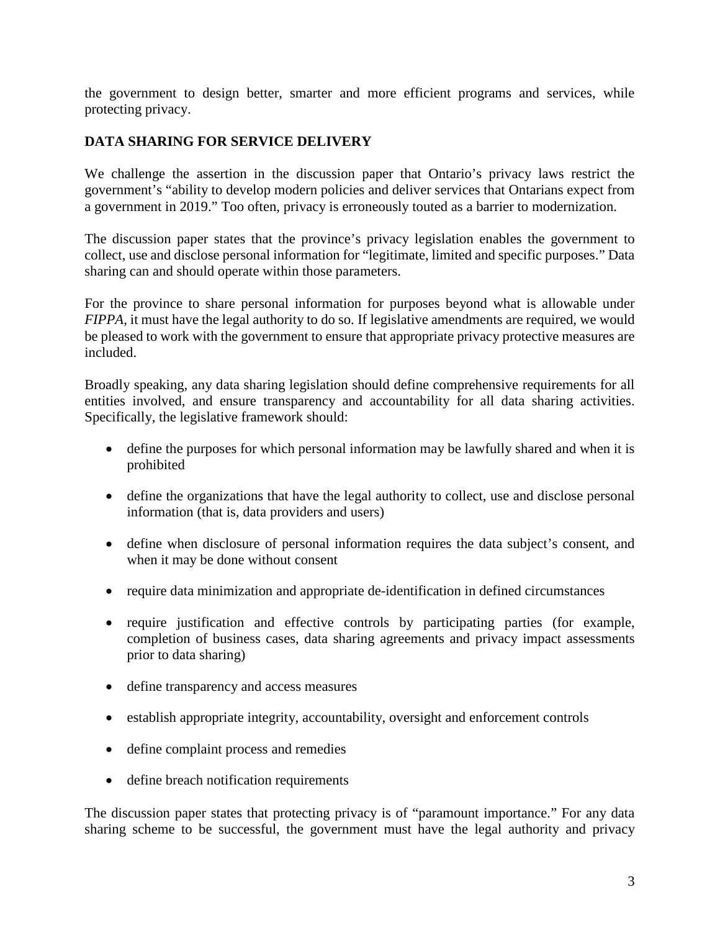the government to design better, smarter and more efficient programs and services, while protecting privacy.

## **DATA SHARING FOR SERVICE DELIVERY**

We challenge the assertion in the discussion paper that Ontario's privacy laws restrict the government's "ability to develop modern policies and deliver services that Ontarians expect from a government in 2019." Too often, privacy is erroneously touted as a barrier to modernization.

The discussion paper states that the province's privacy legislation enables the government to collect, use and disclose personal information for "legitimate, limited and specific purposes." Data sharing can and should operate within those parameters.

For the province to share personal information for purposes beyond what is allowable under *FIPPA*, it must have the legal authority to do so. If legislative amendments are required, we would be pleased to work with the government to ensure that appropriate privacy protective measures are included.

Broadly speaking, any data sharing legislation should define comprehensive requirements for all entities involved, and ensure transparency and accountability for all data sharing activities. Specifically, the legislative framework should:

- define the purposes for which personal information may be lawfully shared and when it is prohibited
- define the organizations that have the legal authority to collect, use and disclose personal information (that is, data providers and users)
- define when disclosure of personal information requires the data subject's consent, and when it may be done without consent
- require data minimization and appropriate de-identification in defined circumstances
- require justification and effective controls by participating parties (for example, completion of business cases, data sharing agreements and privacy impact assessments prior to data sharing)
- define transparency and access measures
- establish appropriate integrity, accountability, oversight and enforcement controls
- define complaint process and remedies
- define breach notification requirements

The discussion paper states that protecting privacy is of "paramount importance." For any data sharing scheme to be successful, the government must have the legal authority and privacy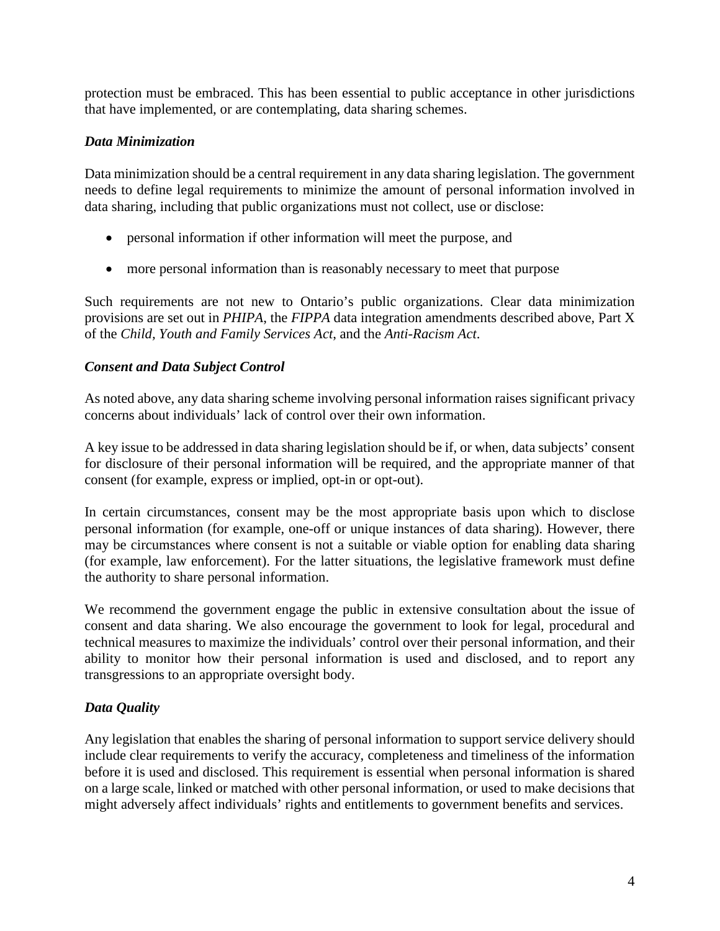protection must be embraced. This has been essential to public acceptance in other jurisdictions that have implemented, or are contemplating, data sharing schemes.

## *Data Minimization*

Data minimization should be a central requirement in any data sharing legislation. The government needs to define legal requirements to minimize the amount of personal information involved in data sharing, including that public organizations must not collect, use or disclose:

- personal information if other information will meet the purpose, and
- more personal information than is reasonably necessary to meet that purpose

Such requirements are not new to Ontario's public organizations. Clear data minimization provisions are set out in *PHIPA*, the *FIPPA* data integration amendments described above, Part X of the *Child, Youth and Family Services Act*, and the *Anti-Racism Act*.

## *Consent and Data Subject Control*

As noted above, any data sharing scheme involving personal information raises significant privacy concerns about individuals' lack of control over their own information.

A key issue to be addressed in data sharing legislation should be if, or when, data subjects' consent for disclosure of their personal information will be required, and the appropriate manner of that consent (for example, express or implied, opt-in or opt-out).

In certain circumstances, consent may be the most appropriate basis upon which to disclose personal information (for example, one-off or unique instances of data sharing). However, there may be circumstances where consent is not a suitable or viable option for enabling data sharing (for example, law enforcement). For the latter situations, the legislative framework must define the authority to share personal information.

We recommend the government engage the public in extensive consultation about the issue of consent and data sharing. We also encourage the government to look for legal, procedural and technical measures to maximize the individuals' control over their personal information, and their ability to monitor how their personal information is used and disclosed, and to report any transgressions to an appropriate oversight body.

## *Data Quality*

Any legislation that enables the sharing of personal information to support service delivery should include clear requirements to verify the accuracy, completeness and timeliness of the information before it is used and disclosed. This requirement is essential when personal information is shared on a large scale, linked or matched with other personal information, or used to make decisions that might adversely affect individuals' rights and entitlements to government benefits and services.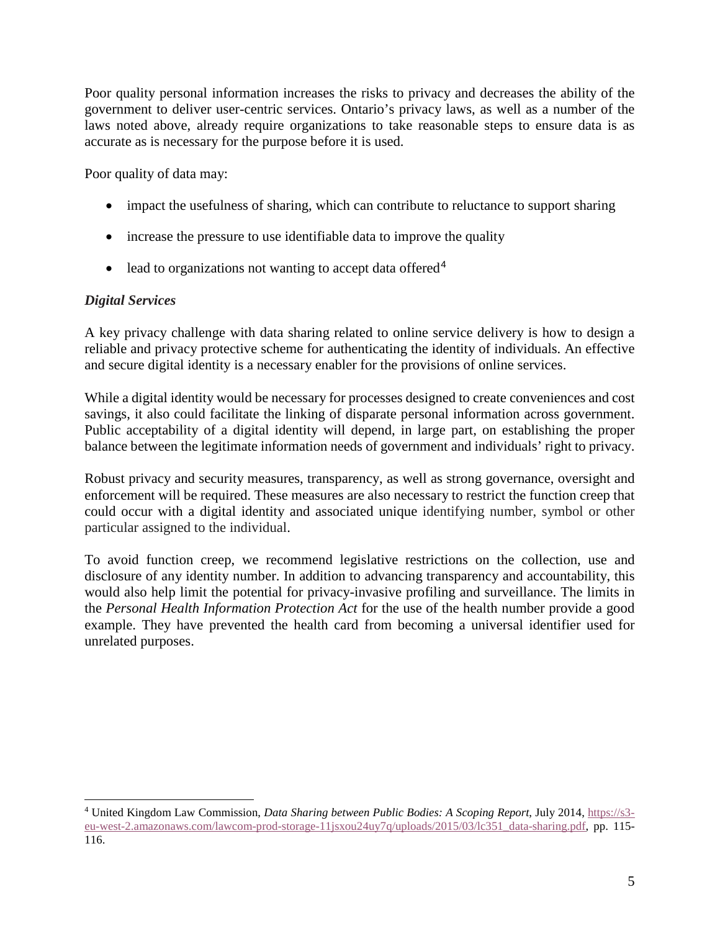Poor quality personal information increases the risks to privacy and decreases the ability of the government to deliver user-centric services. Ontario's privacy laws, as well as a number of the laws noted above, already require organizations to take reasonable steps to ensure data is as accurate as is necessary for the purpose before it is used.

Poor quality of data may:

- impact the usefulness of sharing, which can contribute to reluctance to support sharing
- increase the pressure to use identifiable data to improve the quality
- lead to organizations not wanting to accept data offered<sup>[4](#page-5-0)</sup>

### *Digital Services*

A key privacy challenge with data sharing related to online service delivery is how to design a reliable and privacy protective scheme for authenticating the identity of individuals. An effective and secure digital identity is a necessary enabler for the provisions of online services.

While a digital identity would be necessary for processes designed to create conveniences and cost savings, it also could facilitate the linking of disparate personal information across government. Public acceptability of a digital identity will depend, in large part, on establishing the proper balance between the legitimate information needs of government and individuals' right to privacy.

Robust privacy and security measures, transparency, as well as strong governance, oversight and enforcement will be required. These measures are also necessary to restrict the function creep that could occur with a digital identity and associated unique identifying number, symbol or other particular assigned to the individual.

To avoid function creep, we recommend legislative restrictions on the collection, use and disclosure of any identity number. In addition to advancing transparency and accountability, this would also help limit the potential for privacy-invasive profiling and surveillance. The limits in the *Personal Health Information Protection Act* for the use of the health number provide a good example. They have prevented the health card from becoming a universal identifier used for unrelated purposes.

<span id="page-5-0"></span> $\overline{a}$ <sup>4</sup> United Kingdom Law Commission, *Data Sharing between Public Bodies: A Scoping Report*, July 2014, [https://s3](https://s3-eu-west-2.amazonaws.com/lawcom-prod-storage-11jsxou24uy7q/uploads/2015/03/lc351_data-sharing.pdf) [eu-west-2.amazonaws.com/lawcom-prod-storage-11jsxou24uy7q/uploads/2015/03/lc351\\_data-sharing.pdf,](https://s3-eu-west-2.amazonaws.com/lawcom-prod-storage-11jsxou24uy7q/uploads/2015/03/lc351_data-sharing.pdf) pp. 115- 116.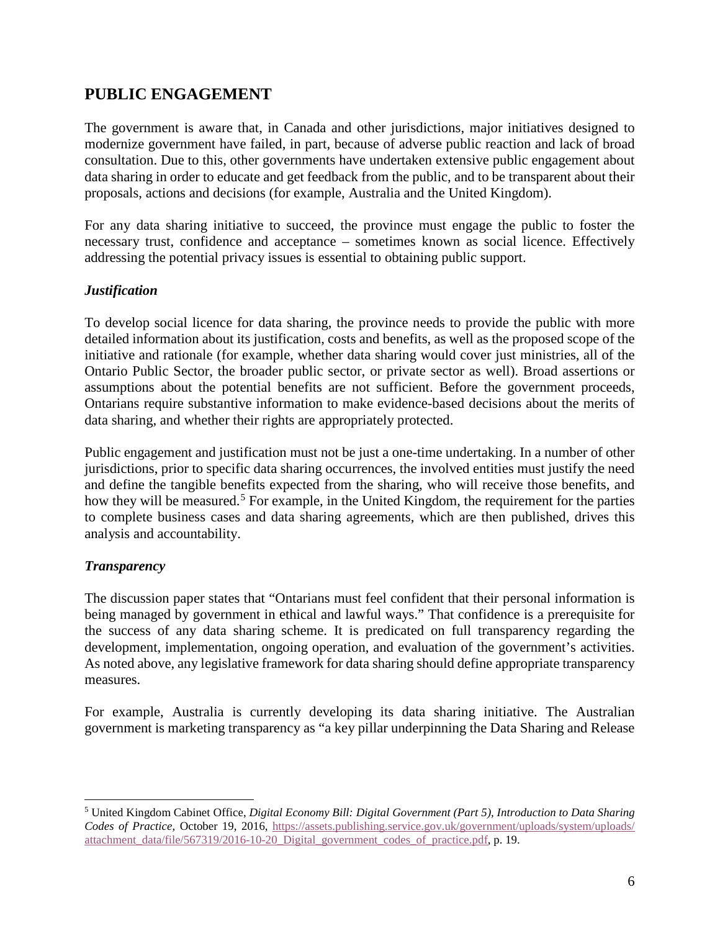# **PUBLIC ENGAGEMENT**

The government is aware that, in Canada and other jurisdictions, major initiatives designed to modernize government have failed, in part, because of adverse public reaction and lack of broad consultation. Due to this, other governments have undertaken extensive public engagement about data sharing in order to educate and get feedback from the public, and to be transparent about their proposals, actions and decisions (for example, Australia and the United Kingdom).

For any data sharing initiative to succeed, the province must engage the public to foster the necessary trust, confidence and acceptance – sometimes known as social licence. Effectively addressing the potential privacy issues is essential to obtaining public support.

### *Justification*

To develop social licence for data sharing, the province needs to provide the public with more detailed information about its justification, costs and benefits, as well as the proposed scope of the initiative and rationale (for example, whether data sharing would cover just ministries, all of the Ontario Public Sector, the broader public sector, or private sector as well). Broad assertions or assumptions about the potential benefits are not sufficient. Before the government proceeds, Ontarians require substantive information to make evidence-based decisions about the merits of data sharing, and whether their rights are appropriately protected.

Public engagement and justification must not be just a one-time undertaking. In a number of other jurisdictions, prior to specific data sharing occurrences, the involved entities must justify the need and define the tangible benefits expected from the sharing, who will receive those benefits, and how they will be measured.<sup>[5](#page-6-0)</sup> For example, in the United Kingdom, the requirement for the parties to complete business cases and data sharing agreements, which are then published, drives this analysis and accountability.

### *Transparency*

The discussion paper states that "Ontarians must feel confident that their personal information is being managed by government in ethical and lawful ways." That confidence is a prerequisite for the success of any data sharing scheme. It is predicated on full transparency regarding the development, implementation, ongoing operation, and evaluation of the government's activities. As noted above, any legislative framework for data sharing should define appropriate transparency measures.

For example, Australia is currently developing its data sharing initiative. The Australian government is marketing transparency as "a key pillar underpinning the Data Sharing and Release

<span id="page-6-0"></span> $\overline{a}$ <sup>5</sup> United Kingdom Cabinet Office, *Digital Economy Bill: Digital Government (Part 5), Introduction to Data Sharing Codes of Practice*, October 19, 2016, https://assets.publishing.service.gov.uk/government/uploads/system/uploads/ [attachment\\_data/file/567319/2016-10-20\\_Digital\\_government\\_codes\\_of\\_practice.pdf,](https://assets.publishing.service.gov.uk/government/uploads/system/uploads/attachment_data/file/567319/2016-10-20_Digital_government_codes_of_practice.pdf) p. 19.